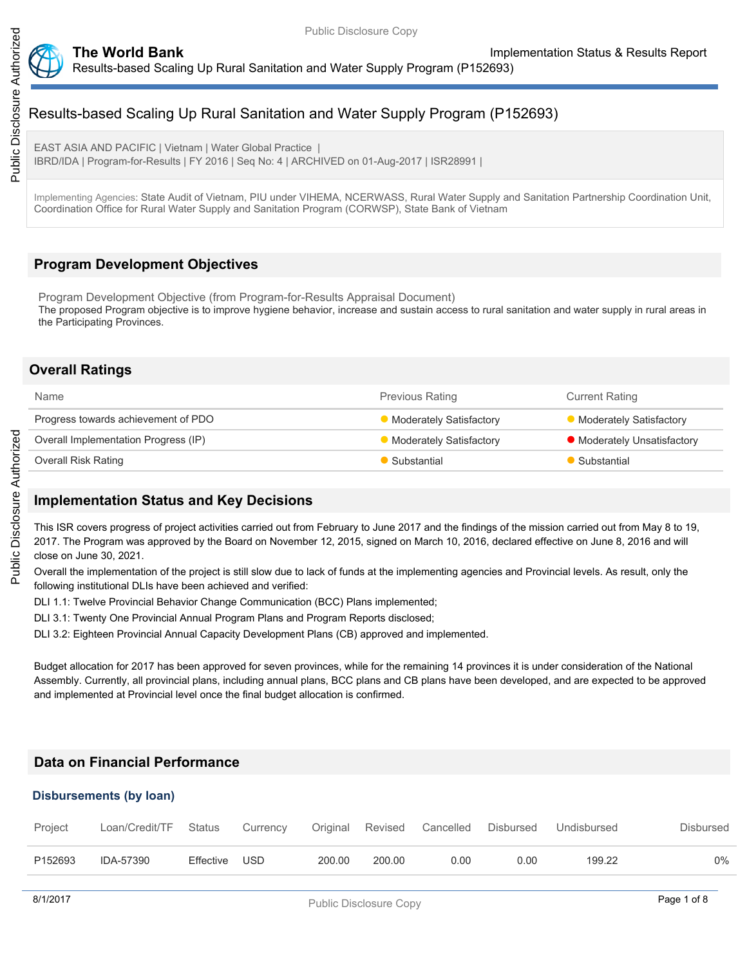

### **The World Bank Implementation Status & Results Report** Results-based Scaling Up Rural Sanitation and Water Supply Program (P152693)

# Results-based Scaling Up Rural Sanitation and Water Supply Program (P152693)

EAST ASIA AND PACIFIC | Vietnam | Water Global Practice | IBRD/IDA | Program-for-Results | FY 2016 | Seq No: 4 | ARCHIVED on 01-Aug-2017 | ISR28991 |

Implementing Agencies: State Audit of Vietnam, PIU under VIHEMA, NCERWASS, Rural Water Supply and Sanitation Partnership Coordination Unit, Coordination Office for Rural Water Supply and Sanitation Program (CORWSP), State Bank of Vietnam

## **Program Development Objectives**

Program Development Objective (from Program-for-Results Appraisal Document) The proposed Program objective is to improve hygiene behavior, increase and sustain access to rural sanitation and water supply in rural areas in the Participating Provinces.

## **Overall Ratings**

| <b>Name</b>                          | <b>Previous Rating</b>         | <b>Current Rating</b>       |
|--------------------------------------|--------------------------------|-----------------------------|
| Progress towards achievement of PDO  | <b>Moderately Satisfactory</b> | Moderately Satisfactory     |
| Overall Implementation Progress (IP) | <b>Moderately Satisfactory</b> | • Moderately Unsatisfactory |
| <b>Overall Risk Rating</b>           | Substantial                    | Substantial                 |

## **Implementation Status and Key Decisions**

This ISR covers progress of project activities carried out from February to June 2017 and the findings of the mission carried out from May 8 to 19, 2017. The Program was approved by the Board on November 12, 2015, signed on March 10, 2016, declared effective on June 8, 2016 and will close on June 30, 2021.

Overall the implementation of the project is still slow due to lack of funds at the implementing agencies and Provincial levels. As result, only the following institutional DLIs have been achieved and verified:

DLI 1.1: Twelve Provincial Behavior Change Communication (BCC) Plans implemented;

DLI 3.1: Twenty One Provincial Annual Program Plans and Program Reports disclosed;

DLI 3.2: Eighteen Provincial Annual Capacity Development Plans (CB) approved and implemented.

Budget allocation for 2017 has been approved for seven provinces, while for the remaining 14 provinces it is under consideration of the National Assembly. Currently, all provincial plans, including annual plans, BCC plans and CB plans have been developed, and are expected to be approved and implemented at Provincial level once the final budget allocation is confirmed.

## **Data on Financial Performance**

#### **Disbursements (by loan)**

| Project | Loan/Credit/TF | Status    | Currency |        |        | Original Revised Cancelled | Disbursed | Undisbursed | Disbursed |
|---------|----------------|-----------|----------|--------|--------|----------------------------|-----------|-------------|-----------|
| P152693 | IDA-57390      | Effective | USD.     | 200.00 | 200.00 | 0.00                       | 0.00      | 199.22      | 0%        |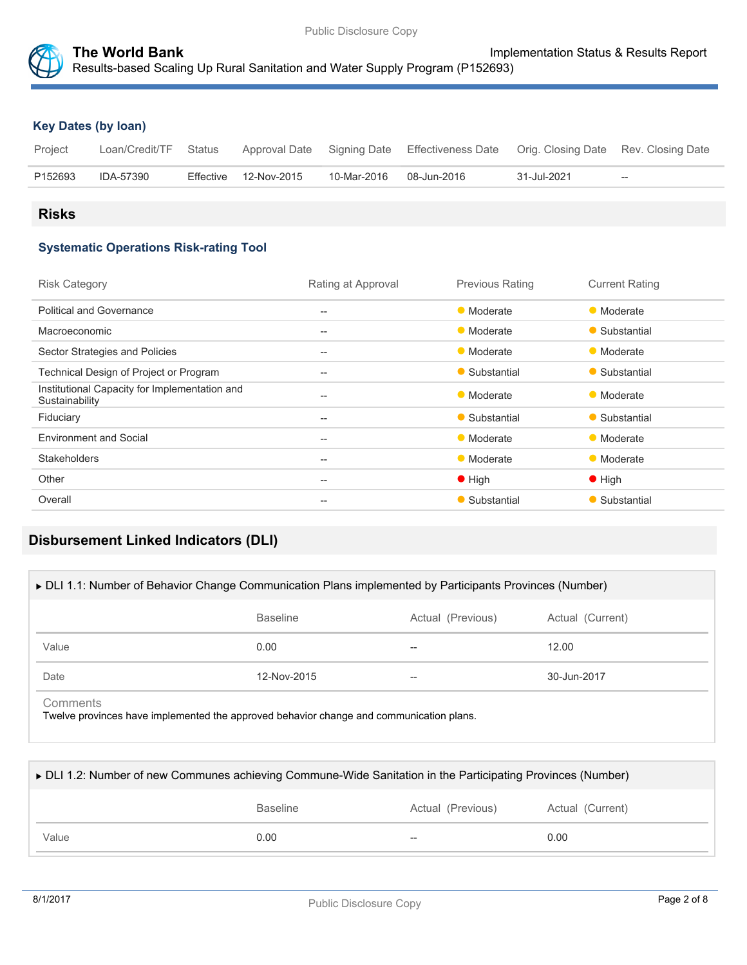

## **Key Dates (by loan)**

| Project | Loan/Credit/TF Status |                       |                         | Approval Date Signing Date Effectiveness Date Orig. Closing Date Rev. Closing Date |             |                                                     |
|---------|-----------------------|-----------------------|-------------------------|------------------------------------------------------------------------------------|-------------|-----------------------------------------------------|
| P152693 | IDA-57390             | Effective 12-Nov-2015 | 10-Mar-2016 08-Jun-2016 |                                                                                    | 31-Jul-2021 | $\hspace{0.05cm} -\hspace{0.05cm} -\hspace{0.05cm}$ |

## **Risks**

## **Systematic Operations Risk-rating Tool**

| <b>Risk Category</b>                                            | Rating at Approval | <b>Previous Rating</b> | <b>Current Rating</b> |
|-----------------------------------------------------------------|--------------------|------------------------|-----------------------|
| <b>Political and Governance</b>                                 | $-$                | • Moderate             | • Moderate            |
| Macroeconomic                                                   | $-$                | • Moderate             | • Substantial         |
| Sector Strategies and Policies                                  | $-$                | • Moderate             | • Moderate            |
| Technical Design of Project or Program                          | $-$                | • Substantial          | • Substantial         |
| Institutional Capacity for Implementation and<br>Sustainability | --                 | • Moderate             | • Moderate            |
| Fiduciary                                                       | $-$                | • Substantial          | • Substantial         |
| <b>Environment and Social</b>                                   | $-$                | • Moderate             | • Moderate            |
| <b>Stakeholders</b>                                             | $-$                | • Moderate             | • Moderate            |
| Other                                                           | --                 | $\bullet$ High         | $\bullet$ High        |
| Overall                                                         | $-$                | • Substantial          | • Substantial         |
|                                                                 |                    |                        |                       |

# **Disbursement Linked Indicators (DLI)**

| ► DLI 1.1: Number of Behavior Change Communication Plans implemented by Participants Provinces (Number) |                 |                   |                  |  |  |
|---------------------------------------------------------------------------------------------------------|-----------------|-------------------|------------------|--|--|
|                                                                                                         | <b>Baseline</b> | Actual (Previous) | Actual (Current) |  |  |
| Value                                                                                                   | 0.00            | --                | 12.00            |  |  |
| Date                                                                                                    | 12-Nov-2015     | --                | 30-Jun-2017      |  |  |
| Comments<br>Twelve provinces have implemented the approved behavior change and communication plans.     |                 |                   |                  |  |  |

| ► DLI 1.2: Number of new Communes achieving Commune-Wide Sanitation in the Participating Provinces (Number) |                 |                   |                  |  |  |  |
|-------------------------------------------------------------------------------------------------------------|-----------------|-------------------|------------------|--|--|--|
|                                                                                                             | <b>Baseline</b> | Actual (Previous) | Actual (Current) |  |  |  |
| Value                                                                                                       | 0.00            | $- -$             | 0.00             |  |  |  |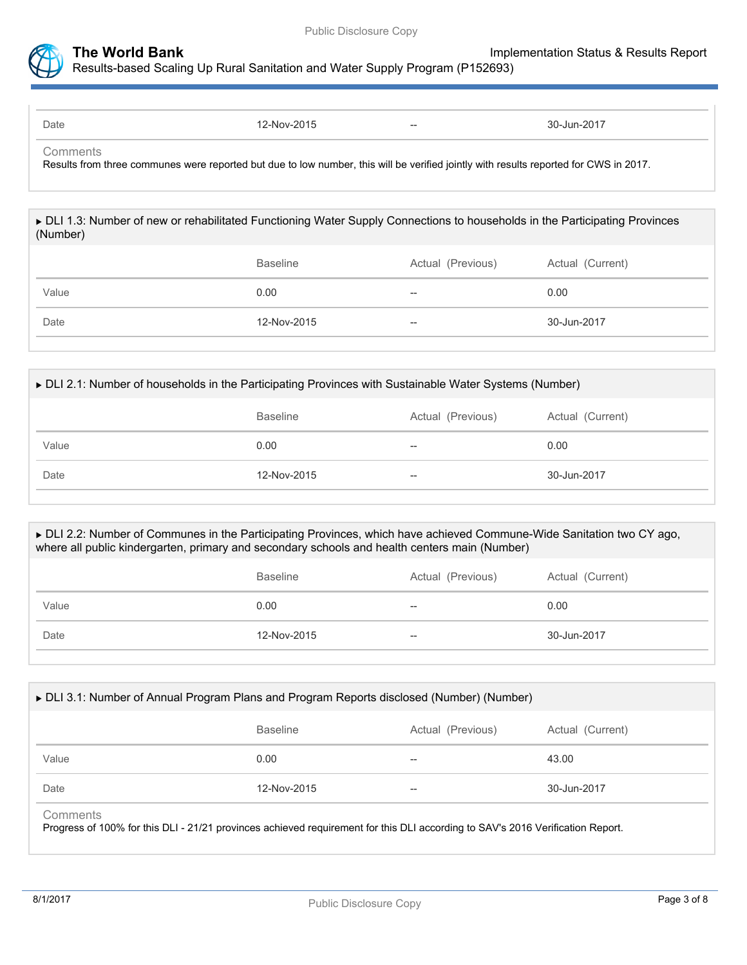

Date 2017 -- 2015 -- 2016 12-Nov-2015 -- 2017 -- 30-Jun-2017

**Comments** 

Results from three communes were reported but due to low number, this will be verified jointly with results reported for CWS in 2017.

 DLI 1.3: Number of new or rehabilitated Functioning Water Supply Connections to households in the Participating Provinces (Number)

|       | <b>Baseline</b> | Actual (Previous) | Actual (Current) |
|-------|-----------------|-------------------|------------------|
| Value | 0.00            | $- -$             | 0.00             |
| Date  | 12-Nov-2015     | --                | 30-Jun-2017      |

|       | <b>Baseline</b> | Actual (Previous) | Actual (Current) |
|-------|-----------------|-------------------|------------------|
| Value | 0.00            | --                | 0.00             |
| Date  | 12-Nov-2015     | $- -$             | 30-Jun-2017      |

#### DLI 2.2: Number of Communes in the Participating Provinces, which have achieved Commune-Wide Sanitation two CY ago, where all public kindergarten, primary and secondary schools and health centers main (Number)

|       | <b>Baseline</b> | Actual (Previous) | Actual (Current) |
|-------|-----------------|-------------------|------------------|
| Value | 0.00            | $- -$             | 0.00             |
| Date  | 12-Nov-2015     | $-\!$             | 30-Jun-2017      |

#### DLI 3.1: Number of Annual Program Plans and Program Reports disclosed (Number) (Number)

|       | <b>Baseline</b> | Actual (Previous) | Actual (Current) |
|-------|-----------------|-------------------|------------------|
| Value | 0.00            | $- -$             | 43.00            |
| Date  | 12-Nov-2015     | $\hspace{0.05cm}$ | 30-Jun-2017      |

#### **Comments**

Progress of 100% for this DLI - 21/21 provinces achieved requirement for this DLI according to SAV's 2016 Verification Report.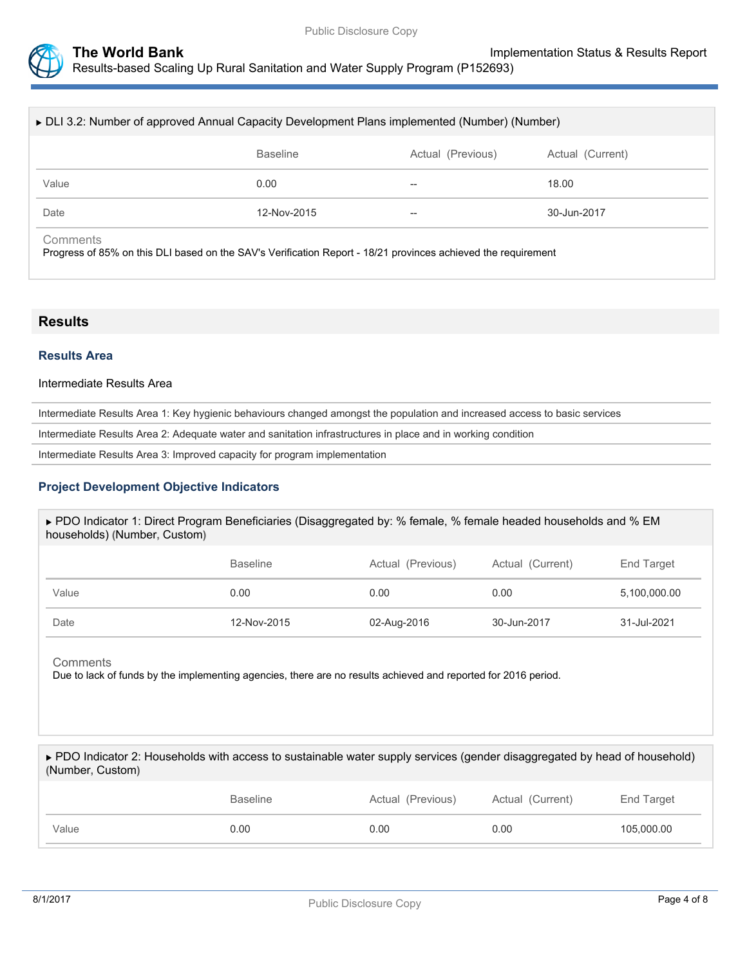

| ► DLI 3.2: Number of approved Annual Capacity Development Plans implemented (Number) (Number) |                 |                   |                  |  |  |
|-----------------------------------------------------------------------------------------------|-----------------|-------------------|------------------|--|--|
|                                                                                               | <b>Baseline</b> | Actual (Previous) | Actual (Current) |  |  |
| Value                                                                                         | 0.00            | --                | 18.00            |  |  |
| Date                                                                                          | 12-Nov-2015     | $- -$             | 30-Jun-2017      |  |  |
| Comments                                                                                      |                 |                   |                  |  |  |

Progress of 85% on this DLI based on the SAV's Verification Report - 18/21 provinces achieved the requirement

## **Results**

## **Results Area**

#### Intermediate Results Area

Intermediate Results Area 1: Key hygienic behaviours changed amongst the population and increased access to basic services

Intermediate Results Area 2: Adequate water and sanitation infrastructures in place and in working condition

Intermediate Results Area 3: Improved capacity for program implementation

### **Project Development Objective Indicators**

| ► PDO Indicator 1: Direct Program Beneficiaries (Disaggregated by: % female, % female headed households and % EM<br>households) (Number, Custom) |                 |                   |                  |                 |  |
|--------------------------------------------------------------------------------------------------------------------------------------------------|-----------------|-------------------|------------------|-----------------|--|
|                                                                                                                                                  | <b>Baseline</b> | Actual (Previous) | Actual (Current) | End Target      |  |
| Value                                                                                                                                            | 0.00            | 0.00              | 0.00             | 5,100,000.00    |  |
| Date                                                                                                                                             | 12-Nov-2015     | 02-Aug-2016       | 30-Jun-2017      | $31 -$ Jul-2021 |  |

#### **Comments**

Due to lack of funds by the implementing agencies, there are no results achieved and reported for 2016 period.

| ► PDO Indicator 2: Households with access to sustainable water supply services (gender disaggregated by head of household)<br>(Number, Custom) |                 |                   |                  |            |
|------------------------------------------------------------------------------------------------------------------------------------------------|-----------------|-------------------|------------------|------------|
|                                                                                                                                                | <b>Baseline</b> | Actual (Previous) | Actual (Current) | End Target |

|       |       |     |      | $\tilde{\phantom{a}}$ |
|-------|-------|-----|------|-----------------------|
| Value | .00 ر | .00 | 0.OO | 05,000,00             |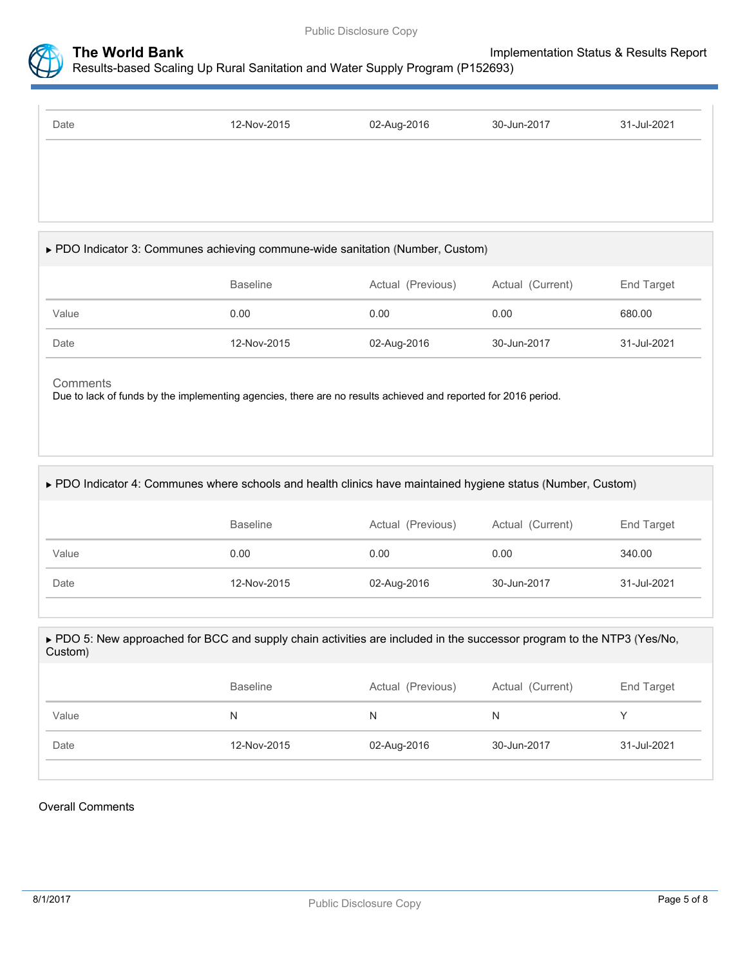



| 12-Nov-2015 | 02-Aug-2016 | 30-Jun-2017 | 31-Jul-2021 |
|-------------|-------------|-------------|-------------|
|             |             |             |             |
|             |             |             |             |
|             |             |             |             |
|             |             |             |             |

## PDO Indicator 3: Communes achieving commune-wide sanitation **(**Number**,** Custom**)**

|       | <b>Baseline</b> | Actual (Previous) | Actual (Current) | End Target  |
|-------|-----------------|-------------------|------------------|-------------|
| Value | 0.00            | 0.00              | 0.00             | 680.00      |
| Date  | 12-Nov-2015     | 02-Aug-2016       | 30-Jun-2017      | 31-Jul-2021 |

#### **Comments**

Due to lack of funds by the implementing agencies, there are no results achieved and reported for 2016 period.

## PDO Indicator 4: Communes where schools and health clinics have maintained hygiene status **(**Number**,** Custom**)**

|       | <b>Baseline</b> | Actual (Previous) | Actual (Current) | End Target  |
|-------|-----------------|-------------------|------------------|-------------|
| Value | 0.00            | 0.00              | 0.00             | 340.00      |
| Date  | 12-Nov-2015     | 02-Aug-2016       | 30-Jun-2017      | 31-Jul-2021 |

#### PDO 5: New approached for BCC and supply chain activities are included in the successor program to the NTP3 **(**Yes/No**,** Custom**)**

|       | <b>Baseline</b> | Actual (Previous) | Actual (Current) | End Target  |
|-------|-----------------|-------------------|------------------|-------------|
| Value | N.              | N                 | N.               |             |
| Date  | 12-Nov-2015     | 02-Aug-2016       | 30-Jun-2017      | 31-Jul-2021 |

#### Overall Comments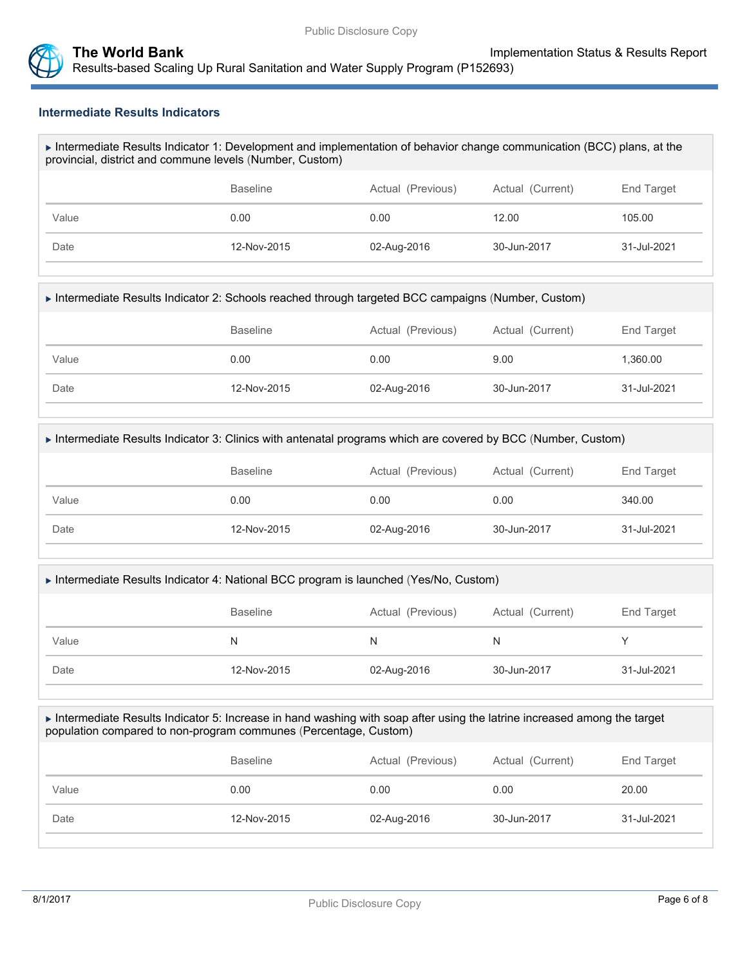

#### **Intermediate Results Indicators**

| Intermediate Results Indicator 1: Development and implementation of behavior change communication (BCC) plans, at the |
|-----------------------------------------------------------------------------------------------------------------------|
| provincial, district and commune levels (Number, Custom)                                                              |

|       | <b>Baseline</b> | Actual (Previous) | Actual (Current) | End Target  |
|-------|-----------------|-------------------|------------------|-------------|
| Value | 0.00            | 0.00              | 12.00            | 105.00      |
| Date  | 12-Nov-2015     | 02-Aug-2016       | 30-Jun-2017      | 31-Jul-2021 |

#### Intermediate Results Indicator 2: Schools reached through targeted BCC campaigns (Number, Custom)

|       | <b>Baseline</b> | Actual (Previous) | Actual (Current) | End Target  |
|-------|-----------------|-------------------|------------------|-------------|
| Value | 0.00            | 0.00              | 9.00             | 1,360.00    |
| Date  | 12-Nov-2015     | 02-Aug-2016       | 30-Jun-2017      | 31-Jul-2021 |

#### Intermediate Results Indicator 3: Clinics with antenatal programs which are covered by BCC (Number, Custom)

|       | <b>Baseline</b> | Actual (Previous) | Actual (Current) | End Target  |
|-------|-----------------|-------------------|------------------|-------------|
| Value | 0.00            | 0.00              | 0.00             | 340.00      |
| Date  | 12-Nov-2015     | 02-Aug-2016       | 30-Jun-2017      | 31-Jul-2021 |

#### Intermediate Results Indicator 4: National BCC program is launched (Yes/No, Custom)

|       | <b>Baseline</b> | Actual (Previous) | Actual (Current) | End Target  |
|-------|-----------------|-------------------|------------------|-------------|
| Value | N               | N                 | N                |             |
| Date  | 12-Nov-2015     | 02-Aug-2016       | 30-Jun-2017      | 31-Jul-2021 |

#### Intermediate Results Indicator 5: Increase in hand washing with soap after using the latrine increased among the target population compared to non-program communes (Percentage, Custom)

|       | <b>Baseline</b> | Actual (Previous) | Actual (Current) | End Target  |
|-------|-----------------|-------------------|------------------|-------------|
| Value | 0.00            | 0.00              | 0.00             | 20.00       |
| Date  | 12-Nov-2015     | 02-Aug-2016       | 30-Jun-2017      | 31-Jul-2021 |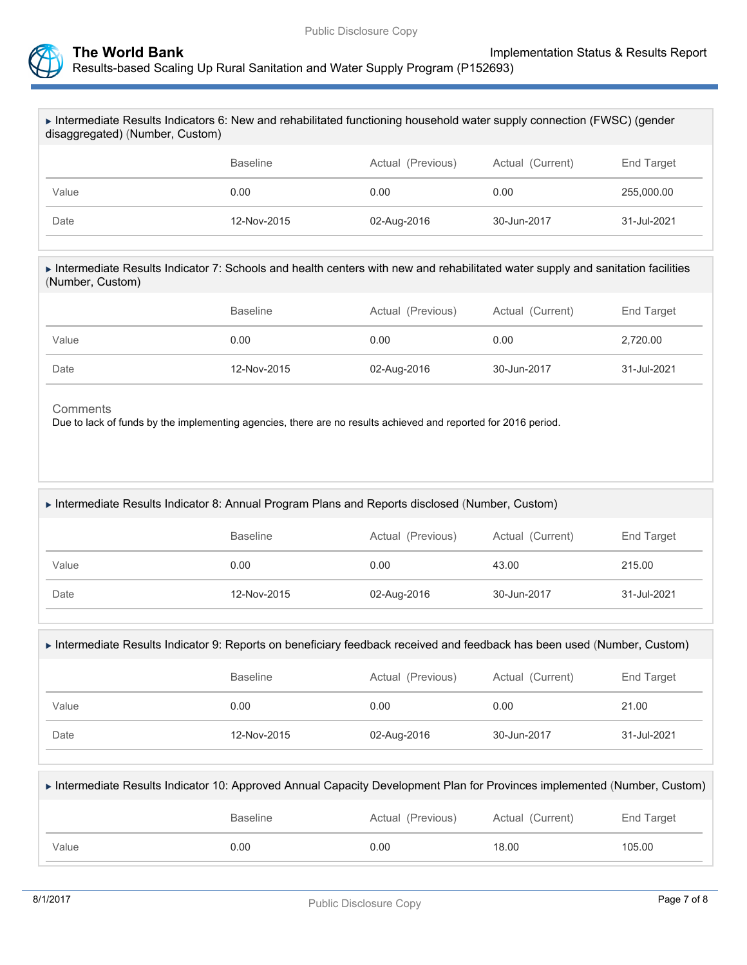



| Intermediate Results Indicators 6: New and rehabilitated functioning household water supply connection (FWSC) (gender<br>disaggregated) (Number, Custom) |                 |                   |                  |             |  |
|----------------------------------------------------------------------------------------------------------------------------------------------------------|-----------------|-------------------|------------------|-------------|--|
|                                                                                                                                                          | <b>Baseline</b> | Actual (Previous) | Actual (Current) | End Target  |  |
| Value                                                                                                                                                    | 0.00            | 0.00              | 0.00             | 255,000.00  |  |
| Date                                                                                                                                                     | 12-Nov-2015     | 02-Aug-2016       | 30-Jun-2017      | 31-Jul-2021 |  |
| Intermediate Results Indicator 7: Schools and health centers with new and rehabilitated water supply and sanitation facilities<br>(Number, Custom)       |                 |                   |                  |             |  |
|                                                                                                                                                          | <b>Baseline</b> | Actual (Previous) | Actual (Current) | End Target  |  |
| Value                                                                                                                                                    | 0.00            | 0.00              | 0.00             | 2,720.00    |  |

Date 12-Nov-2015 02-Aug-2016 30-Jun-2017 31-Jul-2021

Due to lack of funds by the implementing agencies, there are no results achieved and reported for 2016 period.

|       | <b>Baseline</b> | Actual (Previous) | Actual (Current) | End Target  |
|-------|-----------------|-------------------|------------------|-------------|
| Value | 0.00            | 0.00              | 43.00            | 215.00      |
| Date  | 12-Nov-2015     | 02-Aug-2016       | 30-Jun-2017      | 31-Jul-2021 |

| ▶ Intermediate Results Indicator 9: Reports on beneficiary feedback received and feedback has been used (Number, Custom) |                   |                  |                   |  |  |
|--------------------------------------------------------------------------------------------------------------------------|-------------------|------------------|-------------------|--|--|
| Baseline                                                                                                                 | Actual (Previous) | Actual (Current) | <b>End Target</b> |  |  |

| Value | 0.00        | 0.00        | 0.00        | 21.00       |
|-------|-------------|-------------|-------------|-------------|
| Date  | 12-Nov-2015 | 02-Aug-2016 | 30-Jun-2017 | 31-Jul-2021 |
|       |             |             |             |             |

| ► Intermediate Results Indicator 10: Approved Annual Capacity Development Plan for Provinces implemented (Number, Custom) |                 |                   |                  |            |
|---------------------------------------------------------------------------------------------------------------------------|-----------------|-------------------|------------------|------------|
|                                                                                                                           | <b>Baseline</b> | Actual (Previous) | Actual (Current) | End Target |
| Value                                                                                                                     | 0.00            | 0.00              | 18.00            | 105.00     |